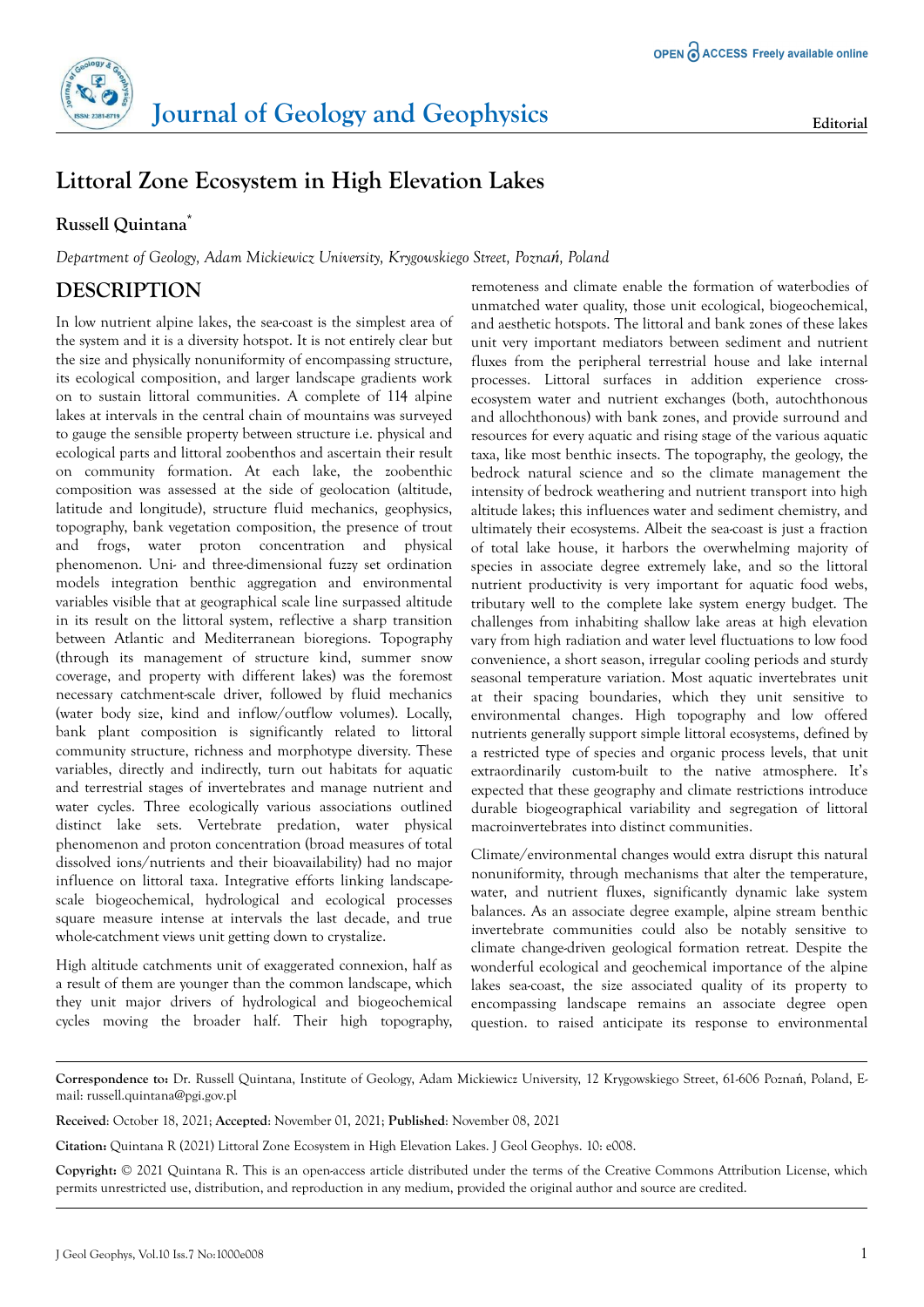

## **Littoral Zone Ecosystem in High Elevation Lakes**

## **Russell Quintana\***

*Department of Geology, Adam Mickiewicz University, Krygowskiego Street, Poznań, Poland*

## **DESCRIPTION**

In low nutrient alpine lakes, the sea-coast is the simplest area of the system and it is a diversity hotspot. It is not entirely clear but the size and physically nonuniformity of encompassing structure, its ecological composition, and larger landscape gradients work on to sustain littoral communities. A complete of 114 alpine lakes at intervals in the central chain of mountains was surveyed to gauge the sensible property between structure i.e. physical and ecological parts and littoral zoobenthos and ascertain their result on community formation. At each lake, the zoobenthic composition was assessed at the side of geolocation (altitude, latitude and longitude), structure fluid mechanics, geophysics, topography, bank vegetation composition, the presence of trout and frogs, water proton concentration and physical phenomenon. Uni- and three-dimensional fuzzy set ordination models integration benthic aggregation and environmental variables visible that at geographical scale line surpassed altitude in its result on the littoral system, reflective a sharp transition between Atlantic and Mediterranean bioregions. Topography (through its management of structure kind, summer snow coverage, and property with different lakes) was the foremost necessary catchment-scale driver, followed by fluid mechanics (water body size, kind and inflow/outflow volumes). Locally, bank plant composition is significantly related to littoral community structure, richness and morphotype diversity. These variables, directly and indirectly, turn out habitats for aquatic and terrestrial stages of invertebrates and manage nutrient and water cycles. Three ecologically various associations outlined distinct lake sets. Vertebrate predation, water physical phenomenon and proton concentration (broad measures of total dissolved ions/nutrients and their bioavailability) had no major influence on littoral taxa. Integrative efforts linking landscapescale biogeochemical, hydrological and ecological processes square measure intense at intervals the last decade, and true whole-catchment views unit getting down to crystalize.

High altitude catchments unit of exaggerated connexion, half as a result of them are younger than the common landscape, which they unit major drivers of hydrological and biogeochemical cycles moving the broader half. Their high topography, remoteness and climate enable the formation of waterbodies of unmatched water quality, those unit ecological, biogeochemical, and aesthetic hotspots. The littoral and bank zones of these lakes unit very important mediators between sediment and nutrient fluxes from the peripheral terrestrial house and lake internal processes. Littoral surfaces in addition experience crossecosystem water and nutrient exchanges (both, autochthonous and allochthonous) with bank zones, and provide surround and resources for every aquatic and rising stage of the various aquatic taxa, like most benthic insects. The topography, the geology, the bedrock natural science and so the climate management the intensity of bedrock weathering and nutrient transport into high altitude lakes; this influences water and sediment chemistry, and ultimately their ecosystems. Albeit the sea-coast is just a fraction of total lake house, it harbors the overwhelming majority of species in associate degree extremely lake, and so the littoral nutrient productivity is very important for aquatic food webs, tributary well to the complete lake system energy budget. The challenges from inhabiting shallow lake areas at high elevation vary from high radiation and water level fluctuations to low food convenience, a short season, irregular cooling periods and sturdy seasonal temperature variation. Most aquatic invertebrates unit at their spacing boundaries, which they unit sensitive to environmental changes. High topography and low offered nutrients generally support simple littoral ecosystems, defined by a restricted type of species and organic process levels, that unit extraordinarily custom-built to the native atmosphere. It's expected that these geography and climate restrictions introduce durable biogeographical variability and segregation of littoral macroinvertebrates into distinct communities.

Climate/environmental changes would extra disrupt this natural nonuniformity, through mechanisms that alter the temperature, water, and nutrient fluxes, significantly dynamic lake system balances. As an associate degree example, alpine stream benthic invertebrate communities could also be notably sensitive to climate change-driven geological formation retreat. Despite the wonderful ecological and geochemical importance of the alpine lakes sea-coast, the size associated quality of its property to encompassing landscape remains an associate degree open question. to raised anticipate its response to environmental

**Correspondence to:** Dr. Russell Quintana, Institute of Geology, Adam Mickiewicz University, 12 Krygowskiego Street, 61-606 Poznań, Poland, Email: russell.quintana@pgi.gov.pl

**Received**: October 18, 2021; **Accepted**: November 01, 2021; **Published**: November 08, 2021

**Citation:** Quintana R (2021) Littoral Zone Ecosystem in High Elevation Lakes. J Geol Geophys. 10: e008.

**Copyright:** © 2021 Quintana R. This is an open-access article distributed under the terms of the Creative Commons Attribution License, which permits unrestricted use, distribution, and reproduction in any medium, provided the original author and source are credited.